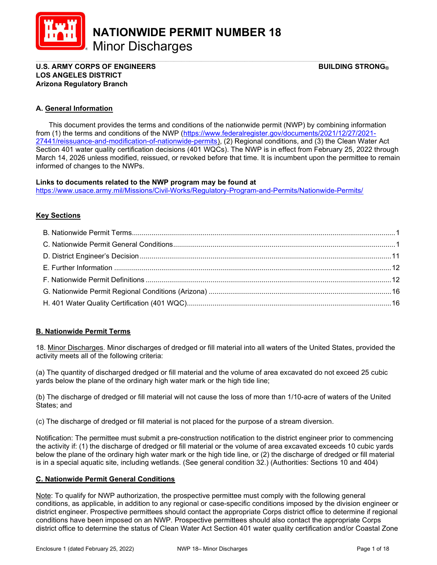

U.S. ARMY CORPS OF ENGINEERS BUILDING STRONG® LOS ANGELES DISTRICT Arizona Regulatory Branch

### A. General Information

 This document provides the terms and conditions of the nationwide permit (NWP) by combining information from (1) the terms and conditions of the NWP (https://www.federalregister.gov/documents/2021/12/27/2021- 27441/reissuance-and-modification-of-nationwide-permits), (2) Regional conditions, and (3) the Clean Water Act Section 401 water quality certification decisions (401 WQCs). The NWP is in effect from February 25, 2022 through March 14, 2026 unless modified, reissued, or revoked before that time. It is incumbent upon the permittee to remain informed of changes to the NWPs.

#### Links to documents related to the NWP program may be found at

https://www.usace.army.mil/Missions/Civil-Works/Regulatory-Program-and-Permits/Nationwide-Permits/

# **Key Sections**

# B. Nationwide Permit Terms

18. Minor Discharges. Minor discharges of dredged or fill material into all waters of the United States, provided the activity meets all of the following criteria:

(a) The quantity of discharged dredged or fill material and the volume of area excavated do not exceed 25 cubic yards below the plane of the ordinary high water mark or the high tide line;

(b) The discharge of dredged or fill material will not cause the loss of more than 1/10-acre of waters of the United States; and

(c) The discharge of dredged or fill material is not placed for the purpose of a stream diversion.

Notification: The permittee must submit a pre-construction notification to the district engineer prior to commencing the activity if: (1) the discharge of dredged or fill material or the volume of area excavated exceeds 10 cubic yards below the plane of the ordinary high water mark or the high tide line, or (2) the discharge of dredged or fill material is in a special aquatic site, including wetlands. (See general condition 32.) (Authorities: Sections 10 and 404)

#### C. Nationwide Permit General Conditions

Note: To qualify for NWP authorization, the prospective permittee must comply with the following general conditions, as applicable, in addition to any regional or case-specific conditions imposed by the division engineer or district engineer. Prospective permittees should contact the appropriate Corps district office to determine if regional conditions have been imposed on an NWP. Prospective permittees should also contact the appropriate Corps district office to determine the status of Clean Water Act Section 401 water quality certification and/or Coastal Zone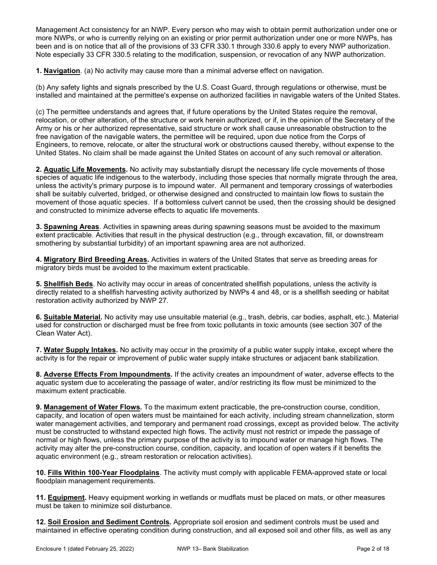Management Act consistency for an NWP. Every person who may wish to obtain permit authorization under one or more NWPs, or who is currently relying on an existing or prior permit authorization under one or more NWPs, has been and is on notice that all of the provisions of 33 CFR 330.1 through 330.6 apply to every NWP authorization. Note especially 33 CFR 330.5 relating to the modification, suspension, or revocation of any NWP authorization.

1. Navigation. (a) No activity may cause more than a minimal adverse effect on navigation.

(b) Any safety lights and signals prescribed by the U.S. Coast Guard, through regulations or otherwise, must be installed and maintained at the permittee's expense on authorized facilities in navigable waters of the United States.

(c) The permittee understands and agrees that, if future operations by the United States require the removal, relocation, or other alteration, of the structure or work herein authorized, or if, in the opinion of the Secretary of the Army or his or her authorized representative, said structure or work shall cause unreasonable obstruction to the free navigation of the navigable waters, the permittee will be required, upon due notice from the Corps of Engineers, to remove, relocate, or alter the structural work or obstructions caused thereby, without expense to the United States. No claim shall be made against the United States on account of any such removal or alteration.

2. Aquatic Life Movements. No activity may substantially disrupt the necessary life cycle movements of those species of aquatic life indigenous to the waterbody, including those species that normally migrate through the area, unless the activity's primary purpose is to impound water. All permanent and temporary crossings of waterbodies shall be suitably culverted, bridged, or otherwise designed and constructed to maintain low flows to sustain the movement of those aquatic species. If a bottomless culvert cannot be used, then the crossing should be designed and constructed to minimize adverse effects to aquatic life movements.

3. Spawning Areas. Activities in spawning areas during spawning seasons must be avoided to the maximum extent practicable. Activities that result in the physical destruction (e.g., through excavation, fill, or downstream smothering by substantial turbidity) of an important spawning area are not authorized.

4. Migratory Bird Breeding Areas. Activities in waters of the United States that serve as breeding areas for migratory birds must be avoided to the maximum extent practicable.

5. Shellfish Beds. No activity may occur in areas of concentrated shellfish populations, unless the activity is directly related to a shellfish harvesting activity authorized by NWPs 4 and 48, or is a shellfish seeding or habitat restoration activity authorized by NWP 27.

6. Suitable Material. No activity may use unsuitable material (e.g., trash, debris, car bodies, asphalt, etc.). Material used for construction or discharged must be free from toxic pollutants in toxic amounts (see section 307 of the Clean Water Act).

7. Water Supply Intakes. No activity may occur in the proximity of a public water supply intake, except where the activity is for the repair or improvement of public water supply intake structures or adjacent bank stabilization.

8. Adverse Effects From Impoundments. If the activity creates an impoundment of water, adverse effects to the aquatic system due to accelerating the passage of water, and/or restricting its flow must be minimized to the maximum extent practicable.

9. Management of Water Flows. To the maximum extent practicable, the pre-construction course, condition, capacity, and location of open waters must be maintained for each activity, including stream channelization, storm water management activities, and temporary and permanent road crossings, except as provided below. The activity must be constructed to withstand expected high flows. The activity must not restrict or impede the passage of normal or high flows, unless the primary purpose of the activity is to impound water or manage high flows. The activity may alter the pre-construction course, condition, capacity, and location of open waters if it benefits the aquatic environment (e.g., stream restoration or relocation activities).

10. Fills Within 100-Year Floodplains. The activity must comply with applicable FEMA-approved state or local floodplain management requirements.

11. Equipment. Heavy equipment working in wetlands or mudflats must be placed on mats, or other measures must be taken to minimize soil disturbance.

12. Soil Erosion and Sediment Controls. Appropriate soil erosion and sediment controls must be used and maintained in effective operating condition during construction, and all exposed soil and other fills, as well as any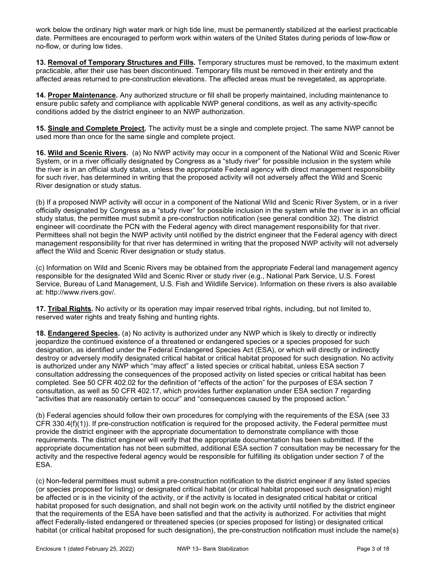work below the ordinary high water mark or high tide line, must be permanently stabilized at the earliest practicable date. Permittees are encouraged to perform work within waters of the United States during periods of low-flow or no-flow, or during low tides.

13. Removal of Temporary Structures and Fills. Temporary structures must be removed, to the maximum extent practicable, after their use has been discontinued. Temporary fills must be removed in their entirety and the affected areas returned to pre-construction elevations. The affected areas must be revegetated, as appropriate.

14. Proper Maintenance. Any authorized structure or fill shall be properly maintained, including maintenance to ensure public safety and compliance with applicable NWP general conditions, as well as any activity-specific conditions added by the district engineer to an NWP authorization.

15. Single and Complete Project. The activity must be a single and complete project. The same NWP cannot be used more than once for the same single and complete project.

16. Wild and Scenic Rivers. (a) No NWP activity may occur in a component of the National Wild and Scenic River System, or in a river officially designated by Congress as a "study river" for possible inclusion in the system while the river is in an official study status, unless the appropriate Federal agency with direct management responsibility for such river, has determined in writing that the proposed activity will not adversely affect the Wild and Scenic River designation or study status.

(b) If a proposed NWP activity will occur in a component of the National Wild and Scenic River System, or in a river officially designated by Congress as a "study river" for possible inclusion in the system while the river is in an official study status, the permittee must submit a pre-construction notification (see general condition 32). The district engineer will coordinate the PCN with the Federal agency with direct management responsibility for that river. Permittees shall not begin the NWP activity until notified by the district engineer that the Federal agency with direct management responsibility for that river has determined in writing that the proposed NWP activity will not adversely affect the Wild and Scenic River designation or study status.

(c) Information on Wild and Scenic Rivers may be obtained from the appropriate Federal land management agency responsible for the designated Wild and Scenic River or study river (e.g., National Park Service, U.S. Forest Service, Bureau of Land Management, U.S. Fish and Wildlife Service). Information on these rivers is also available at: http://www.rivers.gov/.

17. Tribal Rights. No activity or its operation may impair reserved tribal rights, including, but not limited to, reserved water rights and treaty fishing and hunting rights.

18. Endangered Species. (a) No activity is authorized under any NWP which is likely to directly or indirectly jeopardize the continued existence of a threatened or endangered species or a species proposed for such designation, as identified under the Federal Endangered Species Act (ESA), or which will directly or indirectly destroy or adversely modify designated critical habitat or critical habitat proposed for such designation. No activity is authorized under any NWP which "may affect" a listed species or critical habitat, unless ESA section 7 consultation addressing the consequences of the proposed activity on listed species or critical habitat has been completed. See 50 CFR 402.02 for the definition of "effects of the action" for the purposes of ESA section 7 consultation, as well as 50 CFR 402.17, which provides further explanation under ESA section 7 regarding "activities that are reasonably certain to occur" and "consequences caused by the proposed action."

(b) Federal agencies should follow their own procedures for complying with the requirements of the ESA (see 33 CFR 330.4(f)(1)). If pre-construction notification is required for the proposed activity, the Federal permittee must provide the district engineer with the appropriate documentation to demonstrate compliance with those requirements. The district engineer will verify that the appropriate documentation has been submitted. If the appropriate documentation has not been submitted, additional ESA section 7 consultation may be necessary for the activity and the respective federal agency would be responsible for fulfilling its obligation under section 7 of the ESA.

(c) Non-federal permittees must submit a pre-construction notification to the district engineer if any listed species (or species proposed for listing) or designated critical habitat (or critical habitat proposed such designation) might be affected or is in the vicinity of the activity, or if the activity is located in designated critical habitat or critical habitat proposed for such designation, and shall not begin work on the activity until notified by the district engineer that the requirements of the ESA have been satisfied and that the activity is authorized. For activities that might affect Federally-listed endangered or threatened species (or species proposed for listing) or designated critical habitat (or critical habitat proposed for such designation), the pre-construction notification must include the name(s)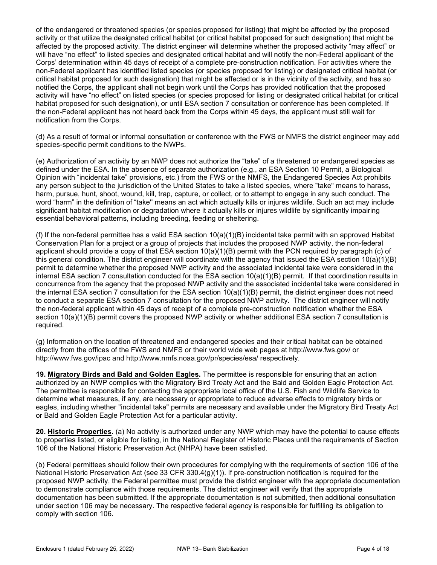of the endangered or threatened species (or species proposed for listing) that might be affected by the proposed activity or that utilize the designated critical habitat (or critical habitat proposed for such designation) that might be affected by the proposed activity. The district engineer will determine whether the proposed activity "may affect" or will have "no effect" to listed species and designated critical habitat and will notify the non-Federal applicant of the Corps' determination within 45 days of receipt of a complete pre-construction notification. For activities where the non-Federal applicant has identified listed species (or species proposed for listing) or designated critical habitat (or critical habitat proposed for such designation) that might be affected or is in the vicinity of the activity, and has so notified the Corps, the applicant shall not begin work until the Corps has provided notification that the proposed activity will have "no effect" on listed species (or species proposed for listing or designated critical habitat (or critical habitat proposed for such designation), or until ESA section 7 consultation or conference has been completed. If the non-Federal applicant has not heard back from the Corps within 45 days, the applicant must still wait for notification from the Corps.

(d) As a result of formal or informal consultation or conference with the FWS or NMFS the district engineer may add species-specific permit conditions to the NWPs.

(e) Authorization of an activity by an NWP does not authorize the "take" of a threatened or endangered species as defined under the ESA. In the absence of separate authorization (e.g., an ESA Section 10 Permit, a Biological Opinion with "incidental take" provisions, etc.) from the FWS or the NMFS, the Endangered Species Act prohibits any person subject to the jurisdiction of the United States to take a listed species, where "take" means to harass, harm, pursue, hunt, shoot, wound, kill, trap, capture, or collect, or to attempt to engage in any such conduct. The word "harm" in the definition of "take'' means an act which actually kills or injures wildlife. Such an act may include significant habitat modification or degradation where it actually kills or injures wildlife by significantly impairing essential behavioral patterns, including breeding, feeding or sheltering.

(f) If the non-federal permittee has a valid ESA section  $10(a)(1)(B)$  incidental take permit with an approved Habitat Conservation Plan for a project or a group of projects that includes the proposed NWP activity, the non-federal applicant should provide a copy of that ESA section 10(a)(1)(B) permit with the PCN required by paragraph (c) of this general condition. The district engineer will coordinate with the agency that issued the ESA section 10(a)(1)(B) permit to determine whether the proposed NWP activity and the associated incidental take were considered in the internal ESA section 7 consultation conducted for the ESA section 10(a)(1)(B) permit. If that coordination results in concurrence from the agency that the proposed NWP activity and the associated incidental take were considered in the internal ESA section 7 consultation for the ESA section 10(a)(1)(B) permit, the district engineer does not need to conduct a separate ESA section 7 consultation for the proposed NWP activity. The district engineer will notify the non-federal applicant within 45 days of receipt of a complete pre-construction notification whether the ESA section 10(a)(1)(B) permit covers the proposed NWP activity or whether additional ESA section 7 consultation is required.

(g) Information on the location of threatened and endangered species and their critical habitat can be obtained directly from the offices of the FWS and NMFS or their world wide web pages at http://www.fws.gov/ or http://www.fws.gov/ipac and http://www.nmfs.noaa.gov/pr/species/esa/ respectively.

19. Migratory Birds and Bald and Golden Eagles. The permittee is responsible for ensuring that an action authorized by an NWP complies with the Migratory Bird Treaty Act and the Bald and Golden Eagle Protection Act. The permittee is responsible for contacting the appropriate local office of the U.S. Fish and Wildlife Service to determine what measures, if any, are necessary or appropriate to reduce adverse effects to migratory birds or eagles, including whether "incidental take" permits are necessary and available under the Migratory Bird Treaty Act or Bald and Golden Eagle Protection Act for a particular activity.

20. Historic Properties. (a) No activity is authorized under any NWP which may have the potential to cause effects to properties listed, or eligible for listing, in the National Register of Historic Places until the requirements of Section 106 of the National Historic Preservation Act (NHPA) have been satisfied.

(b) Federal permittees should follow their own procedures for complying with the requirements of section 106 of the National Historic Preservation Act (see 33 CFR 330.4(g)(1)). If pre-construction notification is required for the proposed NWP activity, the Federal permittee must provide the district engineer with the appropriate documentation to demonstrate compliance with those requirements. The district engineer will verify that the appropriate documentation has been submitted. If the appropriate documentation is not submitted, then additional consultation under section 106 may be necessary. The respective federal agency is responsible for fulfilling its obligation to comply with section 106.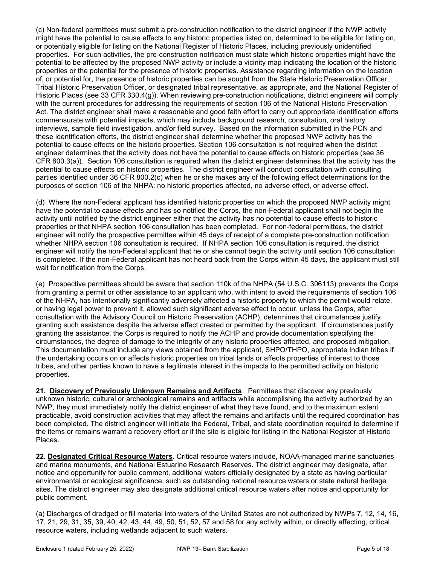(c) Non-federal permittees must submit a pre-construction notification to the district engineer if the NWP activity might have the potential to cause effects to any historic properties listed on, determined to be eligible for listing on, or potentially eligible for listing on the National Register of Historic Places, including previously unidentified properties. For such activities, the pre-construction notification must state which historic properties might have the potential to be affected by the proposed NWP activity or include a vicinity map indicating the location of the historic properties or the potential for the presence of historic properties. Assistance regarding information on the location of, or potential for, the presence of historic properties can be sought from the State Historic Preservation Officer, Tribal Historic Preservation Officer, or designated tribal representative, as appropriate, and the National Register of Historic Places (see 33 CFR 330.4(g)). When reviewing pre-construction notifications, district engineers will comply with the current procedures for addressing the requirements of section 106 of the National Historic Preservation Act. The district engineer shall make a reasonable and good faith effort to carry out appropriate identification efforts commensurate with potential impacts, which may include background research, consultation, oral history interviews, sample field investigation, and/or field survey. Based on the information submitted in the PCN and these identification efforts, the district engineer shall determine whether the proposed NWP activity has the potential to cause effects on the historic properties. Section 106 consultation is not required when the district engineer determines that the activity does not have the potential to cause effects on historic properties (see 36 CFR 800.3(a)). Section 106 consultation is required when the district engineer determines that the activity has the potential to cause effects on historic properties. The district engineer will conduct consultation with consulting parties identified under 36 CFR 800.2(c) when he or she makes any of the following effect determinations for the purposes of section 106 of the NHPA: no historic properties affected, no adverse effect, or adverse effect.

(d) Where the non-Federal applicant has identified historic properties on which the proposed NWP activity might have the potential to cause effects and has so notified the Corps, the non-Federal applicant shall not begin the activity until notified by the district engineer either that the activity has no potential to cause effects to historic properties or that NHPA section 106 consultation has been completed. For non-federal permittees, the district engineer will notify the prospective permittee within 45 days of receipt of a complete pre-construction notification whether NHPA section 106 consultation is required. If NHPA section 106 consultation is required, the district engineer will notify the non-Federal applicant that he or she cannot begin the activity until section 106 consultation is completed. If the non-Federal applicant has not heard back from the Corps within 45 days, the applicant must still wait for notification from the Corps.

(e) Prospective permittees should be aware that section 110k of the NHPA (54 U.S.C. 306113) prevents the Corps from granting a permit or other assistance to an applicant who, with intent to avoid the requirements of section 106 of the NHPA, has intentionally significantly adversely affected a historic property to which the permit would relate, or having legal power to prevent it, allowed such significant adverse effect to occur, unless the Corps, after consultation with the Advisory Council on Historic Preservation (ACHP), determines that circumstances justify granting such assistance despite the adverse effect created or permitted by the applicant. If circumstances justify granting the assistance, the Corps is required to notify the ACHP and provide documentation specifying the circumstances, the degree of damage to the integrity of any historic properties affected, and proposed mitigation. This documentation must include any views obtained from the applicant, SHPO/THPO, appropriate Indian tribes if the undertaking occurs on or affects historic properties on tribal lands or affects properties of interest to those tribes, and other parties known to have a legitimate interest in the impacts to the permitted activity on historic properties.

21. Discovery of Previously Unknown Remains and Artifacts. Permittees that discover any previously unknown historic, cultural or archeological remains and artifacts while accomplishing the activity authorized by an NWP, they must immediately notify the district engineer of what they have found, and to the maximum extent practicable, avoid construction activities that may affect the remains and artifacts until the required coordination has been completed. The district engineer will initiate the Federal, Tribal, and state coordination required to determine if the items or remains warrant a recovery effort or if the site is eligible for listing in the National Register of Historic Places.

22. Designated Critical Resource Waters. Critical resource waters include, NOAA-managed marine sanctuaries and marine monuments, and National Estuarine Research Reserves. The district engineer may designate, after notice and opportunity for public comment, additional waters officially designated by a state as having particular environmental or ecological significance, such as outstanding national resource waters or state natural heritage sites. The district engineer may also designate additional critical resource waters after notice and opportunity for public comment.

(a) Discharges of dredged or fill material into waters of the United States are not authorized by NWPs 7, 12, 14, 16, 17, 21, 29, 31, 35, 39, 40, 42, 43, 44, 49, 50, 51, 52, 57 and 58 for any activity within, or directly affecting, critical resource waters, including wetlands adjacent to such waters.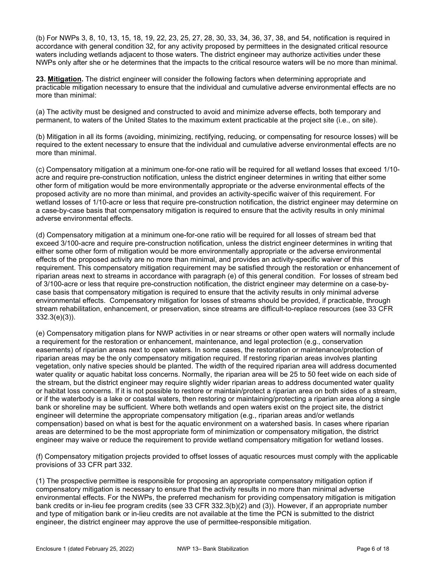(b) For NWPs 3, 8, 10, 13, 15, 18, 19, 22, 23, 25, 27, 28, 30, 33, 34, 36, 37, 38, and 54, notification is required in accordance with general condition 32, for any activity proposed by permittees in the designated critical resource waters including wetlands adjacent to those waters. The district engineer may authorize activities under these NWPs only after she or he determines that the impacts to the critical resource waters will be no more than minimal.

23. Mitigation. The district engineer will consider the following factors when determining appropriate and practicable mitigation necessary to ensure that the individual and cumulative adverse environmental effects are no more than minimal:

(a) The activity must be designed and constructed to avoid and minimize adverse effects, both temporary and permanent, to waters of the United States to the maximum extent practicable at the project site (i.e., on site).

(b) Mitigation in all its forms (avoiding, minimizing, rectifying, reducing, or compensating for resource losses) will be required to the extent necessary to ensure that the individual and cumulative adverse environmental effects are no more than minimal.

(c) Compensatory mitigation at a minimum one-for-one ratio will be required for all wetland losses that exceed 1/10 acre and require pre-construction notification, unless the district engineer determines in writing that either some other form of mitigation would be more environmentally appropriate or the adverse environmental effects of the proposed activity are no more than minimal, and provides an activity-specific waiver of this requirement. For wetland losses of 1/10-acre or less that require pre-construction notification, the district engineer may determine on a case-by-case basis that compensatory mitigation is required to ensure that the activity results in only minimal adverse environmental effects.

(d) Compensatory mitigation at a minimum one-for-one ratio will be required for all losses of stream bed that exceed 3/100-acre and require pre-construction notification, unless the district engineer determines in writing that either some other form of mitigation would be more environmentally appropriate or the adverse environmental effects of the proposed activity are no more than minimal, and provides an activity-specific waiver of this requirement. This compensatory mitigation requirement may be satisfied through the restoration or enhancement of riparian areas next to streams in accordance with paragraph (e) of this general condition. For losses of stream bed of 3/100-acre or less that require pre-construction notification, the district engineer may determine on a case-bycase basis that compensatory mitigation is required to ensure that the activity results in only minimal adverse environmental effects. Compensatory mitigation for losses of streams should be provided, if practicable, through stream rehabilitation, enhancement, or preservation, since streams are difficult-to-replace resources (see 33 CFR 332.3(e)(3)).

(e) Compensatory mitigation plans for NWP activities in or near streams or other open waters will normally include a requirement for the restoration or enhancement, maintenance, and legal protection (e.g., conservation easements) of riparian areas next to open waters. In some cases, the restoration or maintenance/protection of riparian areas may be the only compensatory mitigation required. If restoring riparian areas involves planting vegetation, only native species should be planted. The width of the required riparian area will address documented water quality or aquatic habitat loss concerns. Normally, the riparian area will be 25 to 50 feet wide on each side of the stream, but the district engineer may require slightly wider riparian areas to address documented water quality or habitat loss concerns. If it is not possible to restore or maintain/protect a riparian area on both sides of a stream, or if the waterbody is a lake or coastal waters, then restoring or maintaining/protecting a riparian area along a single bank or shoreline may be sufficient. Where both wetlands and open waters exist on the project site, the district engineer will determine the appropriate compensatory mitigation (e.g., riparian areas and/or wetlands compensation) based on what is best for the aquatic environment on a watershed basis. In cases where riparian areas are determined to be the most appropriate form of minimization or compensatory mitigation, the district engineer may waive or reduce the requirement to provide wetland compensatory mitigation for wetland losses.

(f) Compensatory mitigation projects provided to offset losses of aquatic resources must comply with the applicable provisions of 33 CFR part 332.

(1) The prospective permittee is responsible for proposing an appropriate compensatory mitigation option if compensatory mitigation is necessary to ensure that the activity results in no more than minimal adverse environmental effects. For the NWPs, the preferred mechanism for providing compensatory mitigation is mitigation bank credits or in-lieu fee program credits (see 33 CFR 332.3(b)(2) and (3)). However, if an appropriate number and type of mitigation bank or in-lieu credits are not available at the time the PCN is submitted to the district engineer, the district engineer may approve the use of permittee-responsible mitigation.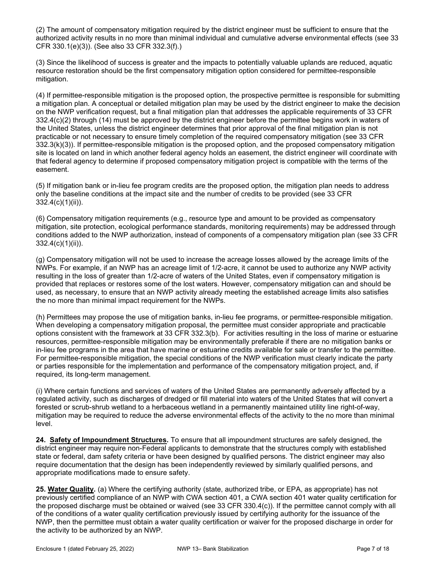(2) The amount of compensatory mitigation required by the district engineer must be sufficient to ensure that the authorized activity results in no more than minimal individual and cumulative adverse environmental effects (see 33 CFR 330.1(e)(3)). (See also 33 CFR 332.3(f).)

(3) Since the likelihood of success is greater and the impacts to potentially valuable uplands are reduced, aquatic resource restoration should be the first compensatory mitigation option considered for permittee-responsible mitigation.

(4) If permittee-responsible mitigation is the proposed option, the prospective permittee is responsible for submitting a mitigation plan. A conceptual or detailed mitigation plan may be used by the district engineer to make the decision on the NWP verification request, but a final mitigation plan that addresses the applicable requirements of 33 CFR 332.4(c)(2) through (14) must be approved by the district engineer before the permittee begins work in waters of the United States, unless the district engineer determines that prior approval of the final mitigation plan is not practicable or not necessary to ensure timely completion of the required compensatory mitigation (see 33 CFR 332.3(k)(3)). If permittee-responsible mitigation is the proposed option, and the proposed compensatory mitigation site is located on land in which another federal agency holds an easement, the district engineer will coordinate with that federal agency to determine if proposed compensatory mitigation project is compatible with the terms of the easement.

(5) If mitigation bank or in-lieu fee program credits are the proposed option, the mitigation plan needs to address only the baseline conditions at the impact site and the number of credits to be provided (see 33 CFR 332.4(c)(1)(ii)).

(6) Compensatory mitigation requirements (e.g., resource type and amount to be provided as compensatory mitigation, site protection, ecological performance standards, monitoring requirements) may be addressed through conditions added to the NWP authorization, instead of components of a compensatory mitigation plan (see 33 CFR 332.4(c)(1)(ii)).

(g) Compensatory mitigation will not be used to increase the acreage losses allowed by the acreage limits of the NWPs. For example, if an NWP has an acreage limit of 1/2-acre, it cannot be used to authorize any NWP activity resulting in the loss of greater than 1/2-acre of waters of the United States, even if compensatory mitigation is provided that replaces or restores some of the lost waters. However, compensatory mitigation can and should be used, as necessary, to ensure that an NWP activity already meeting the established acreage limits also satisfies the no more than minimal impact requirement for the NWPs.

(h) Permittees may propose the use of mitigation banks, in-lieu fee programs, or permittee-responsible mitigation. When developing a compensatory mitigation proposal, the permittee must consider appropriate and practicable options consistent with the framework at 33 CFR 332.3(b). For activities resulting in the loss of marine or estuarine resources, permittee-responsible mitigation may be environmentally preferable if there are no mitigation banks or in-lieu fee programs in the area that have marine or estuarine credits available for sale or transfer to the permittee. For permittee-responsible mitigation, the special conditions of the NWP verification must clearly indicate the party or parties responsible for the implementation and performance of the compensatory mitigation project, and, if required, its long-term management.

(i) Where certain functions and services of waters of the United States are permanently adversely affected by a regulated activity, such as discharges of dredged or fill material into waters of the United States that will convert a forested or scrub-shrub wetland to a herbaceous wetland in a permanently maintained utility line right-of-way, mitigation may be required to reduce the adverse environmental effects of the activity to the no more than minimal level.

24. Safety of Impoundment Structures. To ensure that all impoundment structures are safely designed, the district engineer may require non-Federal applicants to demonstrate that the structures comply with established state or federal, dam safety criteria or have been designed by qualified persons. The district engineer may also require documentation that the design has been independently reviewed by similarly qualified persons, and appropriate modifications made to ensure safety.

25. Water Quality. (a) Where the certifying authority (state, authorized tribe, or EPA, as appropriate) has not previously certified compliance of an NWP with CWA section 401, a CWA section 401 water quality certification for the proposed discharge must be obtained or waived (see 33 CFR 330.4(c)). If the permittee cannot comply with all of the conditions of a water quality certification previously issued by certifying authority for the issuance of the NWP, then the permittee must obtain a water quality certification or waiver for the proposed discharge in order for the activity to be authorized by an NWP.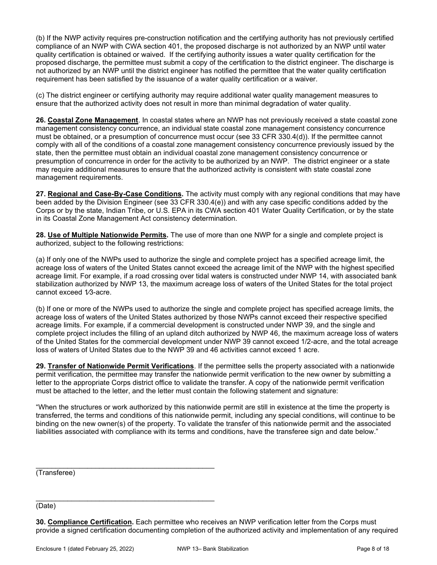(b) If the NWP activity requires pre-construction notification and the certifying authority has not previously certified compliance of an NWP with CWA section 401, the proposed discharge is not authorized by an NWP until water quality certification is obtained or waived. If the certifying authority issues a water quality certification for the proposed discharge, the permittee must submit a copy of the certification to the district engineer. The discharge is not authorized by an NWP until the district engineer has notified the permittee that the water quality certification requirement has been satisfied by the issuance of a water quality certification or a waiver.

(c) The district engineer or certifying authority may require additional water quality management measures to ensure that the authorized activity does not result in more than minimal degradation of water quality.

26. Coastal Zone Management. In coastal states where an NWP has not previously received a state coastal zone management consistency concurrence, an individual state coastal zone management consistency concurrence must be obtained, or a presumption of concurrence must occur (see 33 CFR 330.4(d)). If the permittee cannot comply with all of the conditions of a coastal zone management consistency concurrence previously issued by the state, then the permittee must obtain an individual coastal zone management consistency concurrence or presumption of concurrence in order for the activity to be authorized by an NWP. The district engineer or a state may require additional measures to ensure that the authorized activity is consistent with state coastal zone management requirements.

27. Regional and Case-By-Case Conditions. The activity must comply with any regional conditions that may have been added by the Division Engineer (see 33 CFR 330.4(e)) and with any case specific conditions added by the Corps or by the state, Indian Tribe, or U.S. EPA in its CWA section 401 Water Quality Certification, or by the state in its Coastal Zone Management Act consistency determination.

28. Use of Multiple Nationwide Permits. The use of more than one NWP for a single and complete project is authorized, subject to the following restrictions:

(a) If only one of the NWPs used to authorize the single and complete project has a specified acreage limit, the acreage loss of waters of the United States cannot exceed the acreage limit of the NWP with the highest specified acreage limit. For example, if a road crossing over tidal waters is constructed under NWP 14, with associated bank stabilization authorized by NWP 13, the maximum acreage loss of waters of the United States for the total project cannot exceed 1/3-acre.

(b) If one or more of the NWPs used to authorize the single and complete project has specified acreage limits, the acreage loss of waters of the United States authorized by those NWPs cannot exceed their respective specified acreage limits. For example, if a commercial development is constructed under NWP 39, and the single and complete project includes the filling of an upland ditch authorized by NWP 46, the maximum acreage loss of waters of the United States for the commercial development under NWP 39 cannot exceed 1/2-acre, and the total acreage loss of waters of United States due to the NWP 39 and 46 activities cannot exceed 1 acre.

29. Transfer of Nationwide Permit Verifications. If the permittee sells the property associated with a nationwide permit verification, the permittee may transfer the nationwide permit verification to the new owner by submitting a letter to the appropriate Corps district office to validate the transfer. A copy of the nationwide permit verification must be attached to the letter, and the letter must contain the following statement and signature:

"When the structures or work authorized by this nationwide permit are still in existence at the time the property is transferred, the terms and conditions of this nationwide permit, including any special conditions, will continue to be binding on the new owner(s) of the property. To validate the transfer of this nationwide permit and the associated liabilities associated with compliance with its terms and conditions, have the transferee sign and date below."

(Transferee)

(Date)

30. Compliance Certification. Each permittee who receives an NWP verification letter from the Corps must provide a signed certification documenting completion of the authorized activity and implementation of any required

\_\_\_\_\_\_\_\_\_\_\_\_\_\_\_\_\_\_\_\_\_\_\_\_\_\_\_\_\_\_\_\_\_\_\_\_\_\_\_\_\_\_\_\_\_

\_\_\_\_\_\_\_\_\_\_\_\_\_\_\_\_\_\_\_\_\_\_\_\_\_\_\_\_\_\_\_\_\_\_\_\_\_\_\_\_\_\_\_\_\_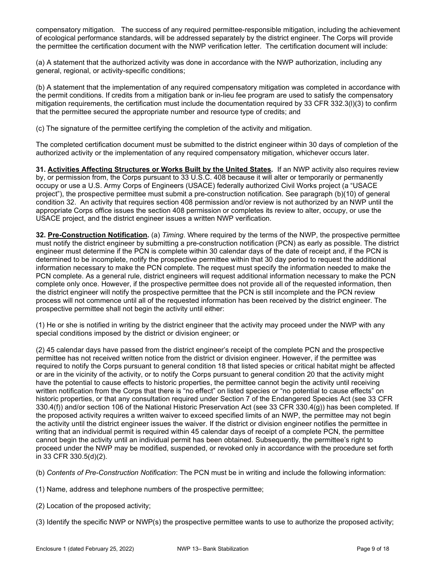compensatory mitigation. The success of any required permittee-responsible mitigation, including the achievement of ecological performance standards, will be addressed separately by the district engineer. The Corps will provide the permittee the certification document with the NWP verification letter. The certification document will include:

(a) A statement that the authorized activity was done in accordance with the NWP authorization, including any general, regional, or activity-specific conditions;

(b) A statement that the implementation of any required compensatory mitigation was completed in accordance with the permit conditions. If credits from a mitigation bank or in-lieu fee program are used to satisfy the compensatory mitigation requirements, the certification must include the documentation required by 33 CFR 332.3(l)(3) to confirm that the permittee secured the appropriate number and resource type of credits; and

(c) The signature of the permittee certifying the completion of the activity and mitigation.

The completed certification document must be submitted to the district engineer within 30 days of completion of the authorized activity or the implementation of any required compensatory mitigation, whichever occurs later.

31. Activities Affecting Structures or Works Built by the United States. If an NWP activity also requires review by, or permission from, the Corps pursuant to 33 U.S.C. 408 because it will alter or temporarily or permanently occupy or use a U.S. Army Corps of Engineers (USACE) federally authorized Civil Works project (a "USACE project"), the prospective permittee must submit a pre-construction notification. See paragraph (b)(10) of general condition 32. An activity that requires section 408 permission and/or review is not authorized by an NWP until the appropriate Corps office issues the section 408 permission or completes its review to alter, occupy, or use the USACE project, and the district engineer issues a written NWP verification.

32. Pre-Construction Notification. (a) Timing. Where required by the terms of the NWP, the prospective permittee must notify the district engineer by submitting a pre-construction notification (PCN) as early as possible. The district engineer must determine if the PCN is complete within 30 calendar days of the date of receipt and, if the PCN is determined to be incomplete, notify the prospective permittee within that 30 day period to request the additional information necessary to make the PCN complete. The request must specify the information needed to make the PCN complete. As a general rule, district engineers will request additional information necessary to make the PCN complete only once. However, if the prospective permittee does not provide all of the requested information, then the district engineer will notify the prospective permittee that the PCN is still incomplete and the PCN review process will not commence until all of the requested information has been received by the district engineer. The prospective permittee shall not begin the activity until either:

(1) He or she is notified in writing by the district engineer that the activity may proceed under the NWP with any special conditions imposed by the district or division engineer; or

(2) 45 calendar days have passed from the district engineer's receipt of the complete PCN and the prospective permittee has not received written notice from the district or division engineer. However, if the permittee was required to notify the Corps pursuant to general condition 18 that listed species or critical habitat might be affected or are in the vicinity of the activity, or to notify the Corps pursuant to general condition 20 that the activity might have the potential to cause effects to historic properties, the permittee cannot begin the activity until receiving written notification from the Corps that there is "no effect" on listed species or "no potential to cause effects" on historic properties, or that any consultation required under Section 7 of the Endangered Species Act (see 33 CFR 330.4(f)) and/or section 106 of the National Historic Preservation Act (see 33 CFR 330.4(g)) has been completed. If the proposed activity requires a written waiver to exceed specified limits of an NWP, the permittee may not begin the activity until the district engineer issues the waiver. If the district or division engineer notifies the permittee in writing that an individual permit is required within 45 calendar days of receipt of a complete PCN, the permittee cannot begin the activity until an individual permit has been obtained. Subsequently, the permittee's right to proceed under the NWP may be modified, suspended, or revoked only in accordance with the procedure set forth in 33 CFR 330.5(d)(2).

(b) Contents of Pre-Construction Notification: The PCN must be in writing and include the following information:

- (1) Name, address and telephone numbers of the prospective permittee;
- (2) Location of the proposed activity;

(3) Identify the specific NWP or NWP(s) the prospective permittee wants to use to authorize the proposed activity;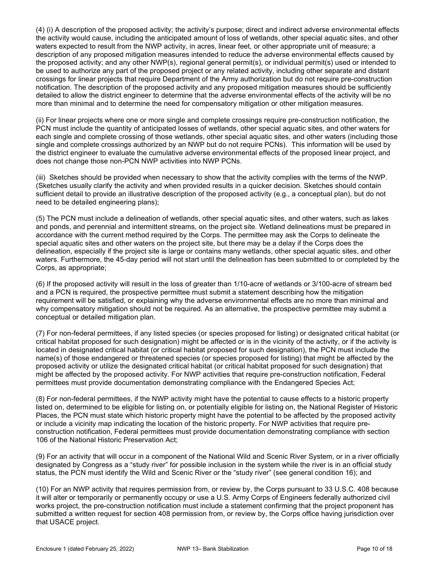(4) (i) A description of the proposed activity; the activity's purpose; direct and indirect adverse environmental effects the activity would cause, including the anticipated amount of loss of wetlands, other special aquatic sites, and other waters expected to result from the NWP activity, in acres, linear feet, or other appropriate unit of measure; a description of any proposed mitigation measures intended to reduce the adverse environmental effects caused by the proposed activity; and any other NWP(s), regional general permit(s), or individual permit(s) used or intended to be used to authorize any part of the proposed project or any related activity, including other separate and distant crossings for linear projects that require Department of the Army authorization but do not require pre-construction notification. The description of the proposed activity and any proposed mitigation measures should be sufficiently detailed to allow the district engineer to determine that the adverse environmental effects of the activity will be no more than minimal and to determine the need for compensatory mitigation or other mitigation measures.

(ii) For linear projects where one or more single and complete crossings require pre-construction notification, the PCN must include the quantity of anticipated losses of wetlands, other special aquatic sites, and other waters for each single and complete crossing of those wetlands, other special aquatic sites, and other waters (including those single and complete crossings authorized by an NWP but do not require PCNs). This information will be used by the district engineer to evaluate the cumulative adverse environmental effects of the proposed linear project, and does not change those non-PCN NWP activities into NWP PCNs.

(iii) Sketches should be provided when necessary to show that the activity complies with the terms of the NWP. (Sketches usually clarify the activity and when provided results in a quicker decision. Sketches should contain sufficient detail to provide an illustrative description of the proposed activity (e.g., a conceptual plan), but do not need to be detailed engineering plans);

(5) The PCN must include a delineation of wetlands, other special aquatic sites, and other waters, such as lakes and ponds, and perennial and intermittent streams, on the project site. Wetland delineations must be prepared in accordance with the current method required by the Corps. The permittee may ask the Corps to delineate the special aquatic sites and other waters on the project site, but there may be a delay if the Corps does the delineation, especially if the project site is large or contains many wetlands, other special aquatic sites, and other waters. Furthermore, the 45-day period will not start until the delineation has been submitted to or completed by the Corps, as appropriate;

(6) If the proposed activity will result in the loss of greater than 1/10-acre of wetlands or 3/100-acre of stream bed and a PCN is required, the prospective permittee must submit a statement describing how the mitigation requirement will be satisfied, or explaining why the adverse environmental effects are no more than minimal and why compensatory mitigation should not be required. As an alternative, the prospective permittee may submit a conceptual or detailed mitigation plan.

(7) For non-federal permittees, if any listed species (or species proposed for listing) or designated critical habitat (or critical habitat proposed for such designation) might be affected or is in the vicinity of the activity, or if the activity is located in designated critical habitat (or critical habitat proposed for such designation), the PCN must include the name(s) of those endangered or threatened species (or species proposed for listing) that might be affected by the proposed activity or utilize the designated critical habitat (or critical habitat proposed for such designation) that might be affected by the proposed activity. For NWP activities that require pre-construction notification, Federal permittees must provide documentation demonstrating compliance with the Endangered Species Act;

(8) For non-federal permittees, if the NWP activity might have the potential to cause effects to a historic property listed on, determined to be eligible for listing on, or potentially eligible for listing on, the National Register of Historic Places, the PCN must state which historic property might have the potential to be affected by the proposed activity or include a vicinity map indicating the location of the historic property. For NWP activities that require preconstruction notification, Federal permittees must provide documentation demonstrating compliance with section 106 of the National Historic Preservation Act;

(9) For an activity that will occur in a component of the National Wild and Scenic River System, or in a river officially designated by Congress as a "study river" for possible inclusion in the system while the river is in an official study status, the PCN must identify the Wild and Scenic River or the "study river" (see general condition 16); and

(10) For an NWP activity that requires permission from, or review by, the Corps pursuant to 33 U.S.C. 408 because it will alter or temporarily or permanently occupy or use a U.S. Army Corps of Engineers federally authorized civil works project, the pre-construction notification must include a statement confirming that the project proponent has submitted a written request for section 408 permission from, or review by, the Corps office having jurisdiction over that USACE project.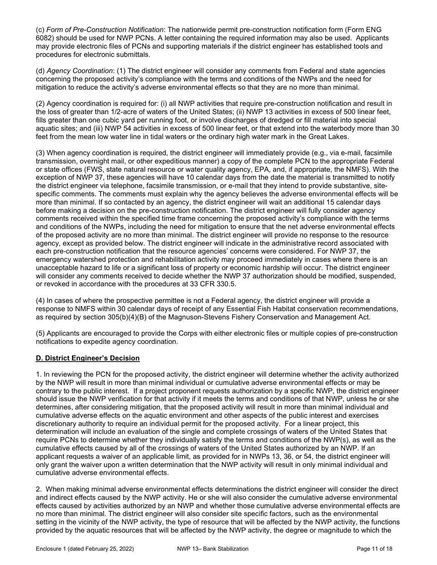(c) Form of Pre-Construction Notification: The nationwide permit pre-construction notification form (Form ENG 6082) should be used for NWP PCNs. A letter containing the required information may also be used. Applicants may provide electronic files of PCNs and supporting materials if the district engineer has established tools and procedures for electronic submittals.

(d) Agency Coordination: (1) The district engineer will consider any comments from Federal and state agencies concerning the proposed activity's compliance with the terms and conditions of the NWPs and the need for mitigation to reduce the activity's adverse environmental effects so that they are no more than minimal.

(2) Agency coordination is required for: (i) all NWP activities that require pre-construction notification and result in the loss of greater than 1/2-acre of waters of the United States; (ii) NWP 13 activities in excess of 500 linear feet, fills greater than one cubic yard per running foot, or involve discharges of dredged or fill material into special aquatic sites; and (iii) NWP 54 activities in excess of 500 linear feet, or that extend into the waterbody more than 30 feet from the mean low water line in tidal waters or the ordinary high water mark in the Great Lakes.

(3) When agency coordination is required, the district engineer will immediately provide (e.g., via e-mail, facsimile transmission, overnight mail, or other expeditious manner) a copy of the complete PCN to the appropriate Federal or state offices (FWS, state natural resource or water quality agency, EPA, and, if appropriate, the NMFS). With the exception of NWP 37, these agencies will have 10 calendar days from the date the material is transmitted to notify the district engineer via telephone, facsimile transmission, or e-mail that they intend to provide substantive, sitespecific comments. The comments must explain why the agency believes the adverse environmental effects will be more than minimal. If so contacted by an agency, the district engineer will wait an additional 15 calendar days before making a decision on the pre-construction notification. The district engineer will fully consider agency comments received within the specified time frame concerning the proposed activity's compliance with the terms and conditions of the NWPs, including the need for mitigation to ensure that the net adverse environmental effects of the proposed activity are no more than minimal. The district engineer will provide no response to the resource agency, except as provided below. The district engineer will indicate in the administrative record associated with each pre-construction notification that the resource agencies' concerns were considered. For NWP 37, the emergency watershed protection and rehabilitation activity may proceed immediately in cases where there is an unacceptable hazard to life or a significant loss of property or economic hardship will occur. The district engineer will consider any comments received to decide whether the NWP 37 authorization should be modified, suspended, or revoked in accordance with the procedures at 33 CFR 330.5.

(4) In cases of where the prospective permittee is not a Federal agency, the district engineer will provide a response to NMFS within 30 calendar days of receipt of any Essential Fish Habitat conservation recommendations, as required by section 305(b)(4)(B) of the Magnuson-Stevens Fishery Conservation and Management Act.

(5) Applicants are encouraged to provide the Corps with either electronic files or multiple copies of pre-construction notifications to expedite agency coordination.

# D. District Engineer's Decision

1. In reviewing the PCN for the proposed activity, the district engineer will determine whether the activity authorized by the NWP will result in more than minimal individual or cumulative adverse environmental effects or may be contrary to the public interest. If a project proponent requests authorization by a specific NWP, the district engineer should issue the NWP verification for that activity if it meets the terms and conditions of that NWP, unless he or she determines, after considering mitigation, that the proposed activity will result in more than minimal individual and cumulative adverse effects on the aquatic environment and other aspects of the public interest and exercises discretionary authority to require an individual permit for the proposed activity. For a linear project, this determination will include an evaluation of the single and complete crossings of waters of the United States that require PCNs to determine whether they individually satisfy the terms and conditions of the NWP(s), as well as the cumulative effects caused by all of the crossings of waters of the United States authorized by an NWP. If an applicant requests a waiver of an applicable limit, as provided for in NWPs 13, 36, or 54, the district engineer will only grant the waiver upon a written determination that the NWP activity will result in only minimal individual and cumulative adverse environmental effects.

2. When making minimal adverse environmental effects determinations the district engineer will consider the direct and indirect effects caused by the NWP activity. He or she will also consider the cumulative adverse environmental effects caused by activities authorized by an NWP and whether those cumulative adverse environmental effects are no more than minimal. The district engineer will also consider site specific factors, such as the environmental setting in the vicinity of the NWP activity, the type of resource that will be affected by the NWP activity, the functions provided by the aquatic resources that will be affected by the NWP activity, the degree or magnitude to which the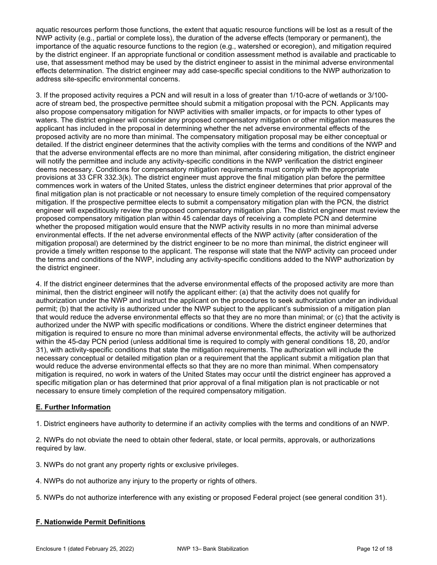aquatic resources perform those functions, the extent that aquatic resource functions will be lost as a result of the NWP activity (e.g., partial or complete loss), the duration of the adverse effects (temporary or permanent), the importance of the aquatic resource functions to the region (e.g., watershed or ecoregion), and mitigation required by the district engineer. If an appropriate functional or condition assessment method is available and practicable to use, that assessment method may be used by the district engineer to assist in the minimal adverse environmental effects determination. The district engineer may add case-specific special conditions to the NWP authorization to address site-specific environmental concerns.

3. If the proposed activity requires a PCN and will result in a loss of greater than 1/10-acre of wetlands or 3/100 acre of stream bed, the prospective permittee should submit a mitigation proposal with the PCN. Applicants may also propose compensatory mitigation for NWP activities with smaller impacts, or for impacts to other types of waters. The district engineer will consider any proposed compensatory mitigation or other mitigation measures the applicant has included in the proposal in determining whether the net adverse environmental effects of the proposed activity are no more than minimal. The compensatory mitigation proposal may be either conceptual or detailed. If the district engineer determines that the activity complies with the terms and conditions of the NWP and that the adverse environmental effects are no more than minimal, after considering mitigation, the district engineer will notify the permittee and include any activity-specific conditions in the NWP verification the district engineer deems necessary. Conditions for compensatory mitigation requirements must comply with the appropriate provisions at 33 CFR 332.3(k). The district engineer must approve the final mitigation plan before the permittee commences work in waters of the United States, unless the district engineer determines that prior approval of the final mitigation plan is not practicable or not necessary to ensure timely completion of the required compensatory mitigation. If the prospective permittee elects to submit a compensatory mitigation plan with the PCN, the district engineer will expeditiously review the proposed compensatory mitigation plan. The district engineer must review the proposed compensatory mitigation plan within 45 calendar days of receiving a complete PCN and determine whether the proposed mitigation would ensure that the NWP activity results in no more than minimal adverse environmental effects. If the net adverse environmental effects of the NWP activity (after consideration of the mitigation proposal) are determined by the district engineer to be no more than minimal, the district engineer will provide a timely written response to the applicant. The response will state that the NWP activity can proceed under the terms and conditions of the NWP, including any activity-specific conditions added to the NWP authorization by the district engineer.

4. If the district engineer determines that the adverse environmental effects of the proposed activity are more than minimal, then the district engineer will notify the applicant either: (a) that the activity does not qualify for authorization under the NWP and instruct the applicant on the procedures to seek authorization under an individual permit; (b) that the activity is authorized under the NWP subject to the applicant's submission of a mitigation plan that would reduce the adverse environmental effects so that they are no more than minimal; or (c) that the activity is authorized under the NWP with specific modifications or conditions. Where the district engineer determines that mitigation is required to ensure no more than minimal adverse environmental effects, the activity will be authorized within the 45-day PCN period (unless additional time is required to comply with general conditions 18, 20, and/or 31), with activity-specific conditions that state the mitigation requirements. The authorization will include the necessary conceptual or detailed mitigation plan or a requirement that the applicant submit a mitigation plan that would reduce the adverse environmental effects so that they are no more than minimal. When compensatory mitigation is required, no work in waters of the United States may occur until the district engineer has approved a specific mitigation plan or has determined that prior approval of a final mitigation plan is not practicable or not necessary to ensure timely completion of the required compensatory mitigation.

# E. Further Information

1. District engineers have authority to determine if an activity complies with the terms and conditions of an NWP.

2. NWPs do not obviate the need to obtain other federal, state, or local permits, approvals, or authorizations required by law.

3. NWPs do not grant any property rights or exclusive privileges.

- 4. NWPs do not authorize any injury to the property or rights of others.
- 5. NWPs do not authorize interference with any existing or proposed Federal project (see general condition 31).

# F. Nationwide Permit Definitions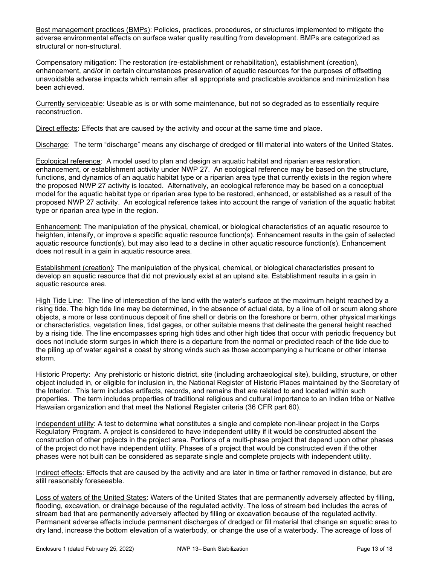Best management practices (BMPs): Policies, practices, procedures, or structures implemented to mitigate the adverse environmental effects on surface water quality resulting from development. BMPs are categorized as structural or non-structural.

Compensatory mitigation: The restoration (re-establishment or rehabilitation), establishment (creation), enhancement, and/or in certain circumstances preservation of aquatic resources for the purposes of offsetting unavoidable adverse impacts which remain after all appropriate and practicable avoidance and minimization has been achieved.

Currently serviceable: Useable as is or with some maintenance, but not so degraded as to essentially require reconstruction.

Direct effects: Effects that are caused by the activity and occur at the same time and place.

Discharge: The term "discharge" means any discharge of dredged or fill material into waters of the United States.

Ecological reference: A model used to plan and design an aquatic habitat and riparian area restoration, enhancement, or establishment activity under NWP 27. An ecological reference may be based on the structure, functions, and dynamics of an aquatic habitat type or a riparian area type that currently exists in the region where the proposed NWP 27 activity is located. Alternatively, an ecological reference may be based on a conceptual model for the aquatic habitat type or riparian area type to be restored, enhanced, or established as a result of the proposed NWP 27 activity. An ecological reference takes into account the range of variation of the aquatic habitat type or riparian area type in the region.

Enhancement: The manipulation of the physical, chemical, or biological characteristics of an aquatic resource to heighten, intensify, or improve a specific aquatic resource function(s). Enhancement results in the gain of selected aquatic resource function(s), but may also lead to a decline in other aquatic resource function(s). Enhancement does not result in a gain in aquatic resource area.

Establishment (creation): The manipulation of the physical, chemical, or biological characteristics present to develop an aquatic resource that did not previously exist at an upland site. Establishment results in a gain in aquatic resource area.

High Tide Line: The line of intersection of the land with the water's surface at the maximum height reached by a rising tide. The high tide line may be determined, in the absence of actual data, by a line of oil or scum along shore objects, a more or less continuous deposit of fine shell or debris on the foreshore or berm, other physical markings or characteristics, vegetation lines, tidal gages, or other suitable means that delineate the general height reached by a rising tide. The line encompasses spring high tides and other high tides that occur with periodic frequency but does not include storm surges in which there is a departure from the normal or predicted reach of the tide due to the piling up of water against a coast by strong winds such as those accompanying a hurricane or other intense storm.

Historic Property: Any prehistoric or historic district, site (including archaeological site), building, structure, or other object included in, or eligible for inclusion in, the National Register of Historic Places maintained by the Secretary of the Interior. This term includes artifacts, records, and remains that are related to and located within such properties. The term includes properties of traditional religious and cultural importance to an Indian tribe or Native Hawaiian organization and that meet the National Register criteria (36 CFR part 60).

Independent utility: A test to determine what constitutes a single and complete non-linear project in the Corps Regulatory Program. A project is considered to have independent utility if it would be constructed absent the construction of other projects in the project area. Portions of a multi-phase project that depend upon other phases of the project do not have independent utility. Phases of a project that would be constructed even if the other phases were not built can be considered as separate single and complete projects with independent utility.

Indirect effects: Effects that are caused by the activity and are later in time or farther removed in distance, but are still reasonably foreseeable.

Loss of waters of the United States: Waters of the United States that are permanently adversely affected by filling, flooding, excavation, or drainage because of the regulated activity. The loss of stream bed includes the acres of stream bed that are permanently adversely affected by filling or excavation because of the regulated activity. Permanent adverse effects include permanent discharges of dredged or fill material that change an aquatic area to dry land, increase the bottom elevation of a waterbody, or change the use of a waterbody. The acreage of loss of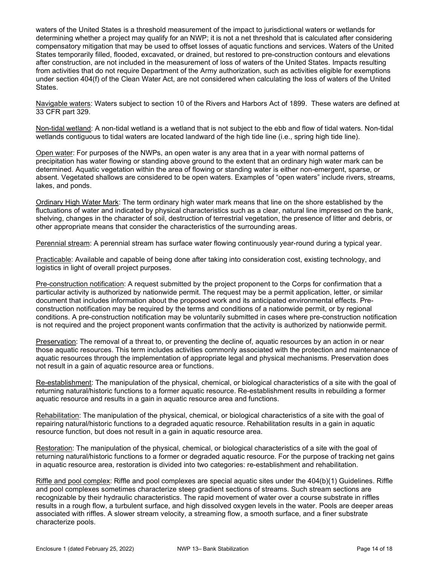waters of the United States is a threshold measurement of the impact to jurisdictional waters or wetlands for determining whether a project may qualify for an NWP; it is not a net threshold that is calculated after considering compensatory mitigation that may be used to offset losses of aquatic functions and services. Waters of the United States temporarily filled, flooded, excavated, or drained, but restored to pre-construction contours and elevations after construction, are not included in the measurement of loss of waters of the United States. Impacts resulting from activities that do not require Department of the Army authorization, such as activities eligible for exemptions under section 404(f) of the Clean Water Act, are not considered when calculating the loss of waters of the United States.

Navigable waters: Waters subject to section 10 of the Rivers and Harbors Act of 1899. These waters are defined at 33 CFR part 329.

Non-tidal wetland: A non-tidal wetland is a wetland that is not subject to the ebb and flow of tidal waters. Non-tidal wetlands contiguous to tidal waters are located landward of the high tide line (i.e., spring high tide line).

Open water: For purposes of the NWPs, an open water is any area that in a year with normal patterns of precipitation has water flowing or standing above ground to the extent that an ordinary high water mark can be determined. Aquatic vegetation within the area of flowing or standing water is either non-emergent, sparse, or absent. Vegetated shallows are considered to be open waters. Examples of "open waters" include rivers, streams, lakes, and ponds.

Ordinary High Water Mark: The term ordinary high water mark means that line on the shore established by the fluctuations of water and indicated by physical characteristics such as a clear, natural line impressed on the bank, shelving, changes in the character of soil, destruction of terrestrial vegetation, the presence of litter and debris, or other appropriate means that consider the characteristics of the surrounding areas.

Perennial stream: A perennial stream has surface water flowing continuously year-round during a typical year.

Practicable: Available and capable of being done after taking into consideration cost, existing technology, and logistics in light of overall project purposes.

Pre-construction notification: A request submitted by the project proponent to the Corps for confirmation that a particular activity is authorized by nationwide permit. The request may be a permit application, letter, or similar document that includes information about the proposed work and its anticipated environmental effects. Preconstruction notification may be required by the terms and conditions of a nationwide permit, or by regional conditions. A pre-construction notification may be voluntarily submitted in cases where pre-construction notification is not required and the project proponent wants confirmation that the activity is authorized by nationwide permit.

Preservation: The removal of a threat to, or preventing the decline of, aquatic resources by an action in or near those aquatic resources. This term includes activities commonly associated with the protection and maintenance of aquatic resources through the implementation of appropriate legal and physical mechanisms. Preservation does not result in a gain of aquatic resource area or functions.

Re-establishment: The manipulation of the physical, chemical, or biological characteristics of a site with the goal of returning natural/historic functions to a former aquatic resource. Re-establishment results in rebuilding a former aquatic resource and results in a gain in aquatic resource area and functions.

Rehabilitation: The manipulation of the physical, chemical, or biological characteristics of a site with the goal of repairing natural/historic functions to a degraded aquatic resource. Rehabilitation results in a gain in aquatic resource function, but does not result in a gain in aquatic resource area.

Restoration: The manipulation of the physical, chemical, or biological characteristics of a site with the goal of returning natural/historic functions to a former or degraded aquatic resource. For the purpose of tracking net gains in aquatic resource area, restoration is divided into two categories: re-establishment and rehabilitation.

Riffle and pool complex: Riffle and pool complexes are special aquatic sites under the 404(b)(1) Guidelines. Riffle and pool complexes sometimes characterize steep gradient sections of streams. Such stream sections are recognizable by their hydraulic characteristics. The rapid movement of water over a course substrate in riffles results in a rough flow, a turbulent surface, and high dissolved oxygen levels in the water. Pools are deeper areas associated with riffles. A slower stream velocity, a streaming flow, a smooth surface, and a finer substrate characterize pools.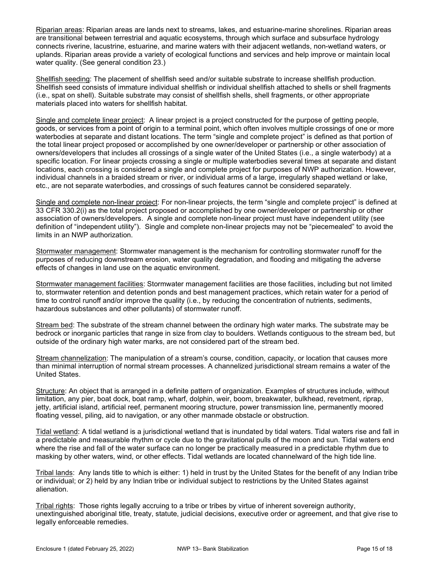Riparian areas: Riparian areas are lands next to streams, lakes, and estuarine-marine shorelines. Riparian areas are transitional between terrestrial and aquatic ecosystems, through which surface and subsurface hydrology connects riverine, lacustrine, estuarine, and marine waters with their adjacent wetlands, non-wetland waters, or uplands. Riparian areas provide a variety of ecological functions and services and help improve or maintain local water quality. (See general condition 23.)

Shellfish seeding: The placement of shellfish seed and/or suitable substrate to increase shellfish production. Shellfish seed consists of immature individual shellfish or individual shellfish attached to shells or shell fragments (i.e., spat on shell). Suitable substrate may consist of shellfish shells, shell fragments, or other appropriate materials placed into waters for shellfish habitat.

Single and complete linear project: A linear project is a project constructed for the purpose of getting people, goods, or services from a point of origin to a terminal point, which often involves multiple crossings of one or more waterbodies at separate and distant locations. The term "single and complete project" is defined as that portion of the total linear project proposed or accomplished by one owner/developer or partnership or other association of owners/developers that includes all crossings of a single water of the United States (i.e., a single waterbody) at a specific location. For linear projects crossing a single or multiple waterbodies several times at separate and distant locations, each crossing is considered a single and complete project for purposes of NWP authorization. However, individual channels in a braided stream or river, or individual arms of a large, irregularly shaped wetland or lake, etc., are not separate waterbodies, and crossings of such features cannot be considered separately.

Single and complete non-linear project: For non-linear projects, the term "single and complete project" is defined at 33 CFR 330.2(i) as the total project proposed or accomplished by one owner/developer or partnership or other association of owners/developers. A single and complete non-linear project must have independent utility (see definition of "independent utility"). Single and complete non-linear projects may not be "piecemealed" to avoid the limits in an NWP authorization.

Stormwater management: Stormwater management is the mechanism for controlling stormwater runoff for the purposes of reducing downstream erosion, water quality degradation, and flooding and mitigating the adverse effects of changes in land use on the aquatic environment.

Stormwater management facilities: Stormwater management facilities are those facilities, including but not limited to, stormwater retention and detention ponds and best management practices, which retain water for a period of time to control runoff and/or improve the quality (i.e., by reducing the concentration of nutrients, sediments, hazardous substances and other pollutants) of stormwater runoff.

Stream bed: The substrate of the stream channel between the ordinary high water marks. The substrate may be bedrock or inorganic particles that range in size from clay to boulders. Wetlands contiguous to the stream bed, but outside of the ordinary high water marks, are not considered part of the stream bed.

Stream channelization: The manipulation of a stream's course, condition, capacity, or location that causes more than minimal interruption of normal stream processes. A channelized jurisdictional stream remains a water of the United States.

Structure: An object that is arranged in a definite pattern of organization. Examples of structures include, without limitation, any pier, boat dock, boat ramp, wharf, dolphin, weir, boom, breakwater, bulkhead, revetment, riprap, jetty, artificial island, artificial reef, permanent mooring structure, power transmission line, permanently moored floating vessel, piling, aid to navigation, or any other manmade obstacle or obstruction.

Tidal wetland: A tidal wetland is a jurisdictional wetland that is inundated by tidal waters. Tidal waters rise and fall in a predictable and measurable rhythm or cycle due to the gravitational pulls of the moon and sun. Tidal waters end where the rise and fall of the water surface can no longer be practically measured in a predictable rhythm due to masking by other waters, wind, or other effects. Tidal wetlands are located channelward of the high tide line.

Tribal lands: Any lands title to which is either: 1) held in trust by the United States for the benefit of any Indian tribe or individual; or 2) held by any Indian tribe or individual subject to restrictions by the United States against alienation.

Tribal rights: Those rights legally accruing to a tribe or tribes by virtue of inherent sovereign authority, unextinguished aboriginal title, treaty, statute, judicial decisions, executive order or agreement, and that give rise to legally enforceable remedies.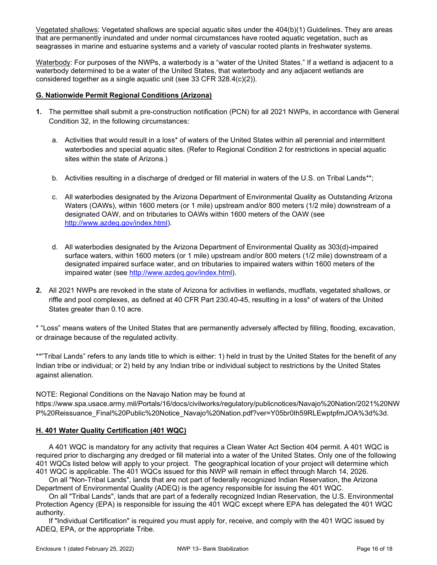Vegetated shallows: Vegetated shallows are special aquatic sites under the 404(b)(1) Guidelines. They are areas that are permanently inundated and under normal circumstances have rooted aquatic vegetation, such as seagrasses in marine and estuarine systems and a variety of vascular rooted plants in freshwater systems.

Waterbody: For purposes of the NWPs, a waterbody is a "water of the United States." If a wetland is adjacent to a waterbody determined to be a water of the United States, that waterbody and any adjacent wetlands are considered together as a single aquatic unit (see 33 CFR 328.4(c)(2)).

### G. Nationwide Permit Regional Conditions (Arizona)

- 1. The permittee shall submit a pre-construction notification (PCN) for all 2021 NWPs, in accordance with General Condition 32, in the following circumstances:
	- a. Activities that would result in a loss\* of waters of the United States within all perennial and intermittent waterbodies and special aquatic sites. (Refer to Regional Condition 2 for restrictions in special aquatic sites within the state of Arizona.)
	- b. Activities resulting in a discharge of dredged or fill material in waters of the U.S. on Tribal Lands\*\*;
	- c. All waterbodies designated by the Arizona Department of Environmental Quality as Outstanding Arizona Waters (OAWs), within 1600 meters (or 1 mile) upstream and/or 800 meters (1/2 mile) downstream of a designated OAW, and on tributaries to OAWs within 1600 meters of the OAW (see http://www.azdeq.gov/index.html).
	- d. All waterbodies designated by the Arizona Department of Environmental Quality as 303(d)-impaired surface waters, within 1600 meters (or 1 mile) upstream and/or 800 meters (1/2 mile) downstream of a designated impaired surface water, and on tributaries to impaired waters within 1600 meters of the impaired water (see http://www.azdeq.gov/index.html).
- 2. All 2021 NWPs are revoked in the state of Arizona for activities in wetlands, mudflats, vegetated shallows, or riffle and pool complexes, as defined at 40 CFR Part 230.40-45, resulting in a loss\* of waters of the United States greater than 0.10 acre.

\* "Loss" means waters of the United States that are permanently adversely affected by filling, flooding, excavation, or drainage because of the regulated activity.

\*\*"Tribal Lands" refers to any lands title to which is either: 1) held in trust by the United States for the benefit of any Indian tribe or individual; or 2) held by any Indian tribe or individual subject to restrictions by the United States against alienation.

NOTE: Regional Conditions on the Navajo Nation may be found at

https://www.spa.usace.army.mil/Portals/16/docs/civilworks/regulatory/publicnotices/Navajo%20Nation/2021%20NW P%20Reissuance\_Final%20Public%20Notice\_Navajo%20Nation.pdf?ver=Y05br0Ih59RLEwptpfmJOA%3d%3d.

#### H. 401 Water Quality Certification (401 WQC)

 A 401 WQC is mandatory for any activity that requires a Clean Water Act Section 404 permit. A 401 WQC is required prior to discharging any dredged or fill material into a water of the United States. Only one of the following 401 WQCs listed below will apply to your project. The geographical location of your project will determine which 401 WQC is applicable. The 401 WQCs issued for this NWP will remain in effect through March 14, 2026.

 On all "Non-Tribal Lands", lands that are not part of federally recognized Indian Reservation, the Arizona Department of Environmental Quality (ADEQ) is the agency responsible for issuing the 401 WQC.

 On all "Tribal Lands", lands that are part of a federally recognized Indian Reservation, the U.S. Environmental Protection Agency (EPA) is responsible for issuing the 401 WQC except where EPA has delegated the 401 WQC authority.

 If "Individual Certification" is required you must apply for, receive, and comply with the 401 WQC issued by ADEQ, EPA, or the appropriate Tribe.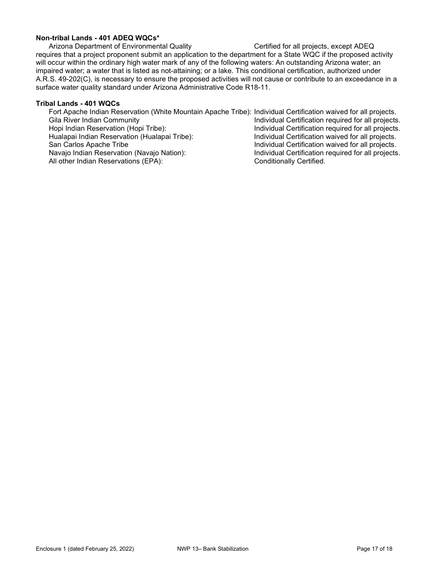### Non-tribal Lands - 401 ADEQ WQCs\*

Arizona Department of Environmental Quality Certified for all projects, except ADEQ requires that a project proponent submit an application to the department for a State WQC if the proposed activity will occur within the ordinary high water mark of any of the following waters: An outstanding Arizona water; an impaired water; a water that is listed as not-attaining; or a lake. This conditional certification, authorized under A.R.S. 49-202(C), is necessary to ensure the proposed activities will not cause or contribute to an exceedance in a surface water quality standard under Arizona Administrative Code R18-11.

#### Tribal Lands - 401 WQCs

 Fort Apache Indian Reservation (White Mountain Apache Tribe): Individual Certification waived for all projects. Gila River Indian Community **Individual Certification required for all projects.** Hopi Indian Reservation (Hopi Tribe): Individual Certification required for all projects. Hualapai Indian Reservation (Hualapai Tribe): Individual Certification waived for all projects. San Carlos Apache Tribe **Individual Certification waived for all projects**. Navajo Indian Reservation (Navajo Nation): Individual Certification required for all projects. All other Indian Reservations (EPA): Conditionally Certified.